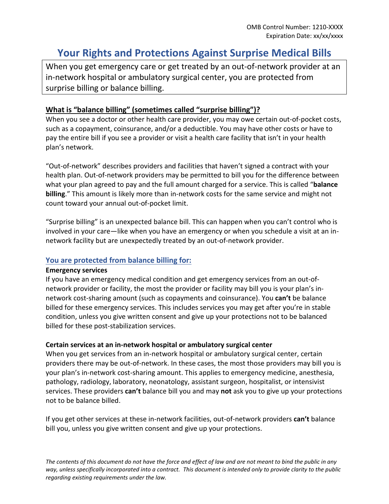# **Your Rights and Protections Against Surprise Medical Bills**

When you get emergency care or get treated by an out-of-network provider at an in-network hospital or ambulatory surgical center, you are protected from surprise billing or balance billing.

# **What is "balance billing" (sometimes called "surprise billing")?**

When you see a doctor or other health care provider, you may owe certain out-of-pocket costs, such as a copayment, coinsurance, and/or a deductible. You may have other costs or have to pay the entire bill if you see a provider or visit a health care facility that isn't in your health plan's network.

"Out-of-network" describes providers and facilities that haven't signed a contract with your health plan. Out-of-network providers may be permitted to bill you for the difference between what your plan agreed to pay and the full amount charged for a service. This is called "**balance billing**." This amount is likely more than in-network costs for the same service and might not count toward your annual out-of-pocket limit.

"Surprise billing" is an unexpected balance bill. This can happen when you can't control who is involved in your care—like when you have an emergency or when you schedule a visit at an innetwork facility but are unexpectedly treated by an out-of-network provider.

### **You are protected from balance billing for:**

#### **Emergency services**

If you have an emergency medical condition and get emergency services from an out-ofnetwork provider or facility, the most the provider or facility may bill you is your plan's innetwork cost-sharing amount (such as copayments and coinsurance). You **can't** be balance billed for these emergency services. This includes services you may get after you're in stable condition, unless you give written consent and give up your protections not to be balanced billed for these post-stabilization services.

#### **Certain services at an in-network hospital or ambulatory surgical center**

When you get services from an in-network hospital or ambulatory surgical center, certain providers there may be out-of-network. In these cases, the most those providers may bill you is your plan's in-network cost-sharing amount. This applies to emergency medicine, anesthesia, pathology, radiology, laboratory, neonatology, assistant surgeon, hospitalist, or intensivist services. These providers **can't** balance bill you and may **not** ask you to give up your protections not to be balance billed.

If you get other services at these in-network facilities, out-of-network providers **can't** balance bill you, unless you give written consent and give up your protections.

*The contents of this document do not have the force and effect of law and are not meant to bind the public in any way, unless specifically incorporated into a contract. This document is intended only to provide clarity to the public regarding existing requirements under the law.*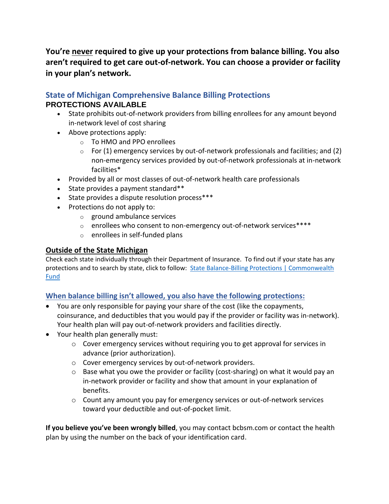**You're never required to give up your protections from balance billing. You also aren't required to get care out-of-network. You can choose a provider or facility in your plan's network.**

# **State of Michigan Comprehensive Balance Billing Protections PROTECTIONS AVAILABLE**

- State prohibits out-of-network providers from billing enrollees for any amount beyond in-network level of cost sharing
- Above protections apply:
	- o To HMO and PPO enrollees
	- $\circ$  For (1) emergency services by out-of-network professionals and facilities; and (2) non-emergency services provided by out-of-network professionals at in-network facilities\*
- Provided by all or most classes of out-of-network health care professionals
- State provides a payment standard\*\*
- State provides a dispute resolution process\*\*\*
- Protections do not apply to:
	- o ground ambulance services
	- o enrollees who consent to non-emergency out-of-network services\*\*\*\*
	- o enrollees in self-funded plans

## **Outside of the State Michigan**

Check each state individually through their Department of Insurance. To find out if your state has any protections and to search by state, click to follow: [State Balance-Billing Protections | Commonwealth](https://www.commonwealthfund.org/publications/maps-and-interactives/2021/feb/state-balance-billing-protections)  [Fund](https://www.commonwealthfund.org/publications/maps-and-interactives/2021/feb/state-balance-billing-protections)

# **When balance billing isn't allowed, you also have the following protections:**

- You are only responsible for paying your share of the cost (like the copayments, coinsurance, and deductibles that you would pay if the provider or facility was in-network). Your health plan will pay out-of-network providers and facilities directly.
- Your health plan generally must:
	- $\circ$  Cover emergency services without requiring you to get approval for services in advance (prior authorization).
	- o Cover emergency services by out-of-network providers.
	- o Base what you owe the provider or facility (cost-sharing) on what it would pay an in-network provider or facility and show that amount in your explanation of benefits.
	- $\circ$  Count any amount you pay for emergency services or out-of-network services toward your deductible and out-of-pocket limit.

**If you believe you've been wrongly billed**, you may contact bcbsm.com or contact the health plan by using the number on the back of your identification card.